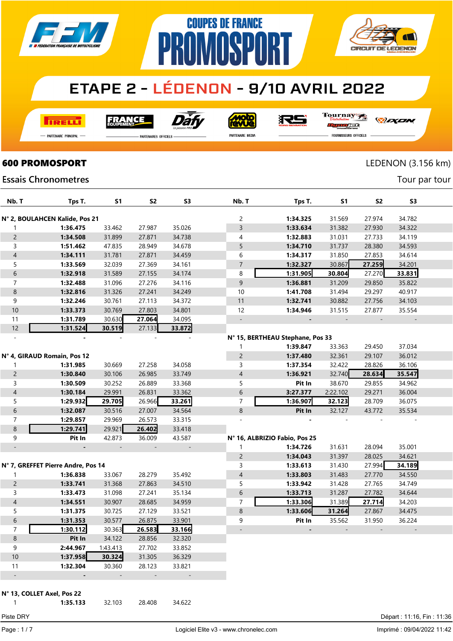

**COUPES DE FRANCE** 

**MASPA** 

**TRELLI** 

FRANCE



**Moto**<br>ANG

RS

Tournay

*DEXEN* 

**CIRCUIT DE LEDENON** 

- Partenaire Principal

**PARTENAIRES OFFICIELS** 

PR

PARTENAIRE MEDIA

orse **FOURNISSEURS OFFICIELS** 

Tour par tour

### **600 PROMOSPORT** LEDENON (3.156 km)

#### **Essais Chronometres**

| Nb. T                    | Tps T.                             | <b>S1</b> | S <sub>2</sub> | S <sub>3</sub>           | Nb. T          | Tps T.                           | <b>S1</b>                | <b>S2</b>                | S <sub>3</sub>           |  |
|--------------------------|------------------------------------|-----------|----------------|--------------------------|----------------|----------------------------------|--------------------------|--------------------------|--------------------------|--|
|                          | N° 2, BOULAHCEN Kalide, Pos 21     |           |                |                          | 2              | 1:34.325                         | 31.569                   | 27.974                   | 34.782                   |  |
|                          | 1:36.475                           | 33.462    | 27.987         | 35.026                   | $\overline{3}$ | 1:33.634                         | 31.382                   | 27.930                   | 34.322                   |  |
| $\overline{c}$           | 1:34.508                           | 31.899    | 27.871         | 34.738                   | 4              | 1:32.883                         | 31.031                   | 27.733                   | 34.119                   |  |
| 3                        | 1:51.462                           | 47.835    | 28.949         | 34.678                   | 5              | 1:34.710                         | 31.737                   | 28.380                   | 34.593                   |  |
| $\overline{4}$           | 1:34.111                           | 31.781    | 27.871         | 34.459                   | 6              | 1:34.317                         | 31.850                   | 27.853                   | 34.614                   |  |
| 5                        | 1:33.569                           | 32.039    | 27.369         | 34.161                   | $\overline{7}$ | 1:32.327                         | 30.867                   | 27.259                   | 34.201                   |  |
| $\sqrt{6}$               | 1:32.918                           | 31.589    | 27.155         | 34.174                   | 8              | 1:31.905                         | 30.804                   | 27.270                   | 33.831                   |  |
| $\overline{7}$           | 1:32.488                           | 31.096    | 27.276         | 34.116                   | $\overline{9}$ | 1:36.881                         | 31.209                   | 29.850                   | 35.822                   |  |
| $\,8\,$                  | 1:32.816                           | 31.326    | 27.241         | 34.249                   | 10             | 1:41.708                         | 31.494                   | 29.297                   | 40.917                   |  |
| 9                        | 1:32.246                           | 30.761    | 27.113         | 34.372                   | 11             | 1:32.741                         | 30.882                   | 27.756                   | 34.103                   |  |
| 10                       | 1:33.373                           | 30.769    | 27.803         | 34.801                   | 12             | 1:34.946                         | 31.515                   | 27.877                   | 35.554                   |  |
| 11                       | 1:31.789                           | 30.630    | 27.064         | 34.095                   | $\sim$         |                                  | $\overline{\phantom{a}}$ |                          | $\overline{\phantom{a}}$ |  |
| 12                       | 1:31.524                           | 30.519    | 27.133         | 33.872                   |                |                                  |                          |                          |                          |  |
|                          |                                    |           |                |                          |                | N° 15, BERTHEAU Stephane, Pos 33 |                          |                          |                          |  |
|                          |                                    |           |                |                          |                | 1:39.847                         | 33.363                   | 29.450                   | 37.034                   |  |
|                          | N° 4, GIRAUD Romain, Pos 12        |           |                |                          | $\overline{c}$ | 1:37.480                         | 32.361                   | 29.107                   | 36.012                   |  |
|                          | 1:31.985                           | 30.669    | 27.258         | 34.058                   | 3              | 1:37.354                         | 32.422                   | 28.826                   | 36.106                   |  |
| $\overline{c}$           | 1:30.840                           | 30.106    | 26.985         | 33.749                   | $\overline{4}$ | 1:36.921                         | 32.740                   | 28.634                   | 35.547                   |  |
| 3                        | 1:30.509                           | 30.252    | 26.889         | 33.368                   | 5              | Pit In                           | 38.670                   | 29.855                   | 34.962                   |  |
| $\overline{4}$           | 1:30.184                           | 29.991    | 26.831         | 33.362                   | 6              | 3:27.377                         | 2:22.102                 | 29.271                   | 36.004                   |  |
| 5                        | 1:29.932                           | 29.705    | 26.966         | 33.261                   | $\overline{7}$ | 1:36.907                         | 32.123                   | 28.709                   | 36.075                   |  |
| $\sqrt{6}$               | 1:32.087                           | 30.516    | 27.007         | 34.564                   | $\bf 8$        | Pit In                           | 32.127                   | 43.772                   | 35.534                   |  |
| $\overline{7}$           | 1:29.857                           | 29.969    | 26.573         | 33.315                   |                |                                  |                          |                          |                          |  |
| $\,8\,$                  | 1:29.741                           | 29.921    | 26.402         | 33.418                   |                |                                  |                          |                          |                          |  |
| 9                        | Pit In                             | 42.873    | 36.009         | 43.587                   |                | Nº 16, ALBRIZIO Fabio, Pos 25    |                          |                          |                          |  |
| $\overline{\phantom{a}}$ |                                    |           |                | $\overline{\phantom{a}}$ |                | 1:34.726                         | 31.631                   | 28.094                   | 35.001                   |  |
|                          |                                    |           |                |                          | $\overline{c}$ | 1:34.043                         | 31.397                   | 28.025                   | 34.621                   |  |
|                          | N° 7, GREFFET Pierre Andre, Pos 14 |           |                |                          | 3              | 1:33.613                         | 31.430                   | 27.994                   | 34.189                   |  |
| 1                        | 1:36.838                           | 33.067    | 28.279         | 35.492                   | $\overline{4}$ | 1:33.803                         | 31.483                   | 27.770                   | 34.550                   |  |
| $\overline{c}$           | 1:33.741                           | 31.368    | 27.863         | 34.510                   | 5              | 1:33.942                         | 31.428                   | 27.765                   | 34.749                   |  |
| 3                        | 1:33.473                           | 31.098    | 27.241         | 35.134                   | 6              | 1:33.713                         | 31.287                   | 27.782                   | 34.644                   |  |
| $\overline{4}$           | 1:34.551                           | 30.907    | 28.685         | 34.959                   | 7              | 1:33.306                         | 31.389                   | 27.714                   | 34.203                   |  |
| 5                        | 1:31.375                           | 30.725    | 27.129         | 33.521                   | $\bf 8$        | 1:33.606                         | 31.264                   | 27.867                   | 34.475                   |  |
| $\boldsymbol{6}$         | 1:31.353                           | 30.577    | 26.875         | 33.901                   | 9              | Pit In                           | 35.562                   | 31.950                   | 36.224                   |  |
| $\overline{7}$           | 1:30.112                           | 30.363    | 26.583         | 33.166                   |                |                                  | $\overline{\phantom{a}}$ | $\overline{\phantom{a}}$ |                          |  |
| 8                        | Pit In                             | 34.122    | 28.856         | 32.320                   |                |                                  |                          |                          |                          |  |
| 9                        | 2:44.967                           | 1:43.413  | 27.702         | 33.852                   |                |                                  |                          |                          |                          |  |
| $10$                     | 1:37.958                           | 30.324    | 31.305         | 36.329                   |                |                                  |                          |                          |                          |  |
| 11                       | 1:32.304                           | 30.360    | 28.123         | 33.821                   |                |                                  |                          |                          |                          |  |
| $\overline{\phantom{a}}$ |                                    |           |                |                          |                |                                  |                          |                          |                          |  |
|                          | N° 13, COLLET Axel, Pos 22         |           |                |                          |                |                                  |                          |                          |                          |  |

1:35.133 32.103 28.408 34.622

Page : 1 / 7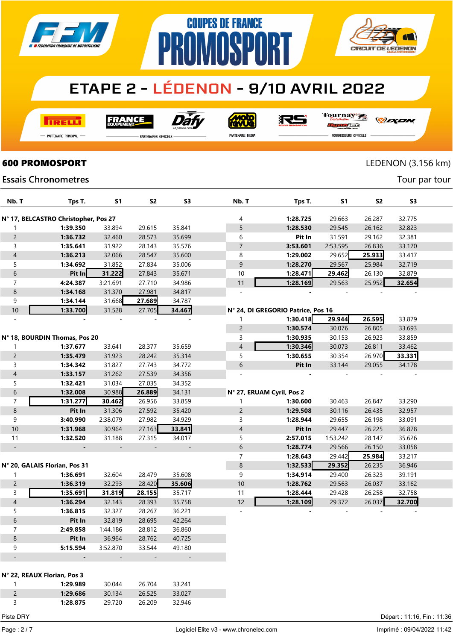

**COUPES DE FRANCE** 

**MASP** 

**I तत्वच**र्च

**FRANCE** 



Moto

很与

Tournay

PR

*DEXEN* 

**CIRCUIT DE LEDENON** 

-<br>Partenaire Principal

**Essais Chronometres** 

**PARTENAIRES OFFICIELS** 

<u>| L</u>

rac

| <b>PARTENAIRE MEDIA</b> |  |  |
|-------------------------|--|--|

FOURNISSEURS OFFICIELS

### **600 PROMOSPORT** LEDENON (3.156 km)

Tour par tour

| Nb. T                    | Tps T.                               | S1       | S <sub>2</sub> | S <sub>3</sub>           | Nb. T                     | Tps T.                             | S <sub>1</sub> | <b>S2</b> | S <sub>3</sub> |  |
|--------------------------|--------------------------------------|----------|----------------|--------------------------|---------------------------|------------------------------------|----------------|-----------|----------------|--|
|                          | N° 17, BELCASTRO Christopher, Pos 27 |          |                |                          | 4                         | 1:28.725                           | 29.663         | 26.287    | 32.775         |  |
| 1                        | 1:39.350                             | 33.894   | 29.615         | 35.841                   | 5                         | 1:28.530                           | 29.545         | 26.162    | 32.823         |  |
| $\overline{c}$           | 1:36.732                             | 32.460   | 28.573         | 35.699                   | 6                         | Pit In                             | 31.591         | 29.162    | 32.381         |  |
| 3                        | 1:35.641                             | 31.922   | 28.143         | 35.576                   | 7                         | 3:53.601                           | 2:53.595       | 26.836    | 33.170         |  |
| $\overline{\mathcal{A}}$ | 1:36.213                             | 32.066   | 28.547         | 35.600                   | 8                         | 1:29.002                           | 29.652         | 25.933    | 33.417         |  |
| 5                        | 1:34.692                             | 31.852   | 27.834         | 35.006                   | 9                         | 1:28.270                           | 29.567         | 25.984    | 32.719         |  |
| 6                        | Pit In                               | 31.222   | 27.843         | 35.671                   | 10                        | 1:28.471                           | 29.462         | 26.130    | 32.879         |  |
| 7                        | 4:24.387                             | 3:21.691 | 27.710         | 34.986                   | 11                        | 1:28.169                           | 29.563         | 25.952    | 32.654         |  |
| $\bf 8$                  | 1:34.168                             | 31.370   | 27.981         | 34.817                   |                           |                                    |                |           |                |  |
| 9                        | 1:34.144                             | 31.668   | 27.689         | 34.787                   |                           |                                    |                |           |                |  |
| $10$                     | 1:33.700                             | 31.528   | 27.705         | 34.467                   |                           | N° 24, DI GREGORIO Patrice, Pos 16 |                |           |                |  |
|                          |                                      |          |                |                          | 1                         | 1:30.418                           | 29.944         | 26.595    | 33.879         |  |
|                          |                                      |          |                |                          | $\overline{c}$            | 1:30.574                           | 30.076         | 26.805    | 33.693         |  |
|                          | N° 18, BOURDIN Thomas, Pos 20        |          |                |                          | 3                         | 1:30.935                           | 30.153         | 26.923    | 33.859         |  |
| 1                        | 1:37.677                             | 33.641   | 28.377         | 35.659                   | $\overline{\mathcal{A}}$  | 1:30.346                           | 30.073         | 26.811    | 33.462         |  |
| $\overline{c}$           | 1:35.479                             | 31.923   | 28.242         | 35.314                   | 5                         | 1:30.655                           | 30.354         | 26.970    | 33.331         |  |
| 3                        | 1:34.342                             | 31.827   | 27.743         | 34.772                   | 6                         | Pit In                             | 33.144         | 29.055    | 34.178         |  |
| $\overline{\mathcal{A}}$ | 1:33.157                             | 31.262   | 27.539         | 34.356                   |                           |                                    |                |           |                |  |
| 5                        | 1:32.421                             | 31.034   | 27.035         | 34.352                   |                           |                                    |                |           |                |  |
| 6                        | 1:32.008                             | 30.988   | 26.889         | 34.131                   | N° 27, ERUAM Cyril, Pos 2 |                                    |                |           |                |  |
| $\overline{7}$           | 1:31.277                             | 30.462   | 26.956         | 33.859                   | 1                         | 1:30.600                           | 30.463         | 26.847    | 33.290         |  |
| $\bf 8$                  | Pit In                               | 31.306   | 27.592         | 35.420                   | $\overline{c}$            | 1:29.508                           | 30.116         | 26.435    | 32.957         |  |
| 9                        | 3:40.990                             | 2:38.079 | 27.982         | 34.929                   | 3                         | 1:28.944                           | 29.655         | 26.198    | 33.091         |  |
| $10$                     | 1:31.968                             | 30.964   | 27.163         | 33.841                   | $\overline{\mathcal{A}}$  | Pit In                             | 29.447         | 26.225    | 36.878         |  |
| 11                       | 1:32.520                             | 31.188   | 27.315         | 34.017                   | 5                         | 2:57.015                           | 1:53.242       | 28.147    | 35.626         |  |
| $\overline{\phantom{a}}$ |                                      |          |                | $\overline{\phantom{a}}$ | 6                         | 1:28.774                           | 29.566         | 26.150    | 33.058         |  |
|                          |                                      |          |                |                          | $\overline{7}$            | 1:28.643                           | 29.442         | 25.984    | 33.217         |  |
|                          | N° 20, GALAIS Florian, Pos 31        |          |                |                          | $\bf 8$                   | 1:32.533                           | 29.352         | 26.235    | 36.946         |  |
| 1                        | 1:36.691                             | 32.604   | 28.479         | 35.608                   | 9                         | 1:34.914                           | 29.400         | 26.323    | 39.191         |  |
| $\overline{c}$           | 1:36.319                             | 32.293   | 28.420         | 35.606                   | 10                        | 1:28.762                           | 29.563         | 26.037    | 33.162         |  |
| 3                        | 1:35.691                             | 31.819   | 28.155         | 35.717                   | 11                        | 1:28.444                           | 29.428         | 26.258    | 32.758         |  |
| $\overline{\mathcal{A}}$ | 1:36.294                             | 32.143   | 28.393         | 35.758                   | 12                        | 1:28.109                           | 29.372         | 26.037    | 32.700         |  |
| 5                        | 1:36.815                             | 32.327   | 28.267         | 36.221                   | ÷,                        |                                    |                |           |                |  |
| 6                        | Pit In                               | 32.819   | 28.695         | 42.264                   |                           |                                    |                |           |                |  |
| $\overline{7}$           | 2:49.858                             | 1:44.186 | 28.812         | 36.860                   |                           |                                    |                |           |                |  |
| 8                        | Pit In                               | 36.964   | 28.762         | 40.725                   |                           |                                    |                |           |                |  |
| 9                        | 5:15.594                             | 3:52.870 | 33.544         | 49.180                   |                           |                                    |                |           |                |  |
|                          |                                      |          |                | $\overline{\phantom{a}}$ |                           |                                    |                |           |                |  |
|                          | N° 22, REAUX Florian, Pos 3          |          |                |                          |                           |                                    |                |           |                |  |
| 1                        | 1:29.989                             | 30.044   | 26.704         | 33.241                   |                           |                                    |                |           |                |  |
| $\overline{c}$           | 1:29.686                             | 30.134   | 26.525         | 33.027                   |                           |                                    |                |           |                |  |
| 3                        | 1:28.875                             | 29.720   | 26.209         | 32.946                   |                           |                                    |                |           |                |  |
|                          |                                      |          |                |                          |                           |                                    |                |           |                |  |

Page : 2 / 7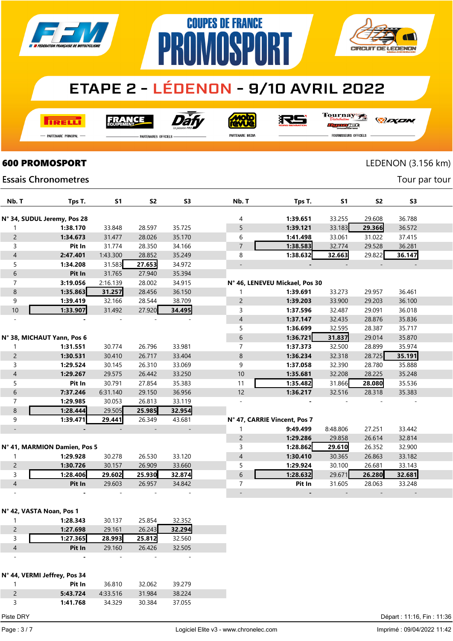

**COUPES DE FRANCE** 

**PROMOSPORT** 

**I तत्वच**र्च

FRANCE



**Moto** 

Tournay RS

*DEXEN* 

- Partenaire Principal

.<br>PARTENAIRES OFFICIELS

PARTENAIRE MEDIA

**CIRCUIT DE LEDENON** 

rac FOURNISSEURS OFFICIELS

**600 PROMOSPORT** LEDENON (3.156 km)

Tour par tour

#### **Essais Chronometres**

| Nb. T                    | Tps T.                       | S <sub>1</sub> | S <sub>2</sub> | S <sub>3</sub> | Nb. T          | Tps T.                         | S <sub>1</sub> | <b>S2</b> | S <sub>3</sub> |  |
|--------------------------|------------------------------|----------------|----------------|----------------|----------------|--------------------------------|----------------|-----------|----------------|--|
|                          |                              |                |                |                |                |                                |                |           |                |  |
|                          | N° 34, SUDUL Jeremy, Pos 28  |                |                |                | 4              | 1:39.651                       | 33.255         | 29.608    | 36.788         |  |
|                          | 1:38.170                     | 33.848         | 28.597         | 35.725         | 5              | 1:39.121                       | 33.183         | 29.366    | 36.572         |  |
| $\overline{c}$           | 1:34.673                     | 31.477         | 28.026         | 35.170         | 6              | 1:41.498                       | 33.061         | 31.022    | 37.415         |  |
| 3                        | Pit In                       | 31.774         | 28.350         | 34.166         | $\overline{7}$ | 1:38.583                       | 32.774         | 29.528    | 36.281         |  |
| 4                        | 2:47.401                     | 1:43.300       | 28.852         | 35.249         | 8              | 1:38.632                       | 32.663         | 29.822    | 36.147         |  |
| 5                        | 1:34.208                     | 31.583         | 27.653         | 34.972         |                |                                |                |           |                |  |
| 6                        | Pit In                       | 31.765         | 27.940         | 35.394         |                |                                |                |           |                |  |
| $\overline{7}$           | 3:19.056                     | 2:16.139       | 28.002         | 34.915         |                | N° 46, LENEVEU Mickael, Pos 30 |                |           |                |  |
| 8                        | 1:35.863                     | 31.257         | 28.456         | 36.150         | 1              | 1:39.691                       | 33.273         | 29.957    | 36.461         |  |
| 9                        | 1:39.419                     | 32.166         | 28.544         | 38.709         | $\overline{2}$ | 1:39.203                       | 33.900         | 29.203    | 36.100         |  |
| $10$                     | 1:33.907                     | 31.492         | 27.920         | 34.495         | 3              | 1:37.596                       | 32.487         | 29.091    | 36.018         |  |
|                          |                              |                |                |                | 4              | 1:37.147                       | 32.435         | 28.876    | 35.836         |  |
|                          |                              |                |                |                | 5              | 1:36.699                       | 32.595         | 28.387    | 35.717         |  |
|                          | N° 38, MICHAUT Yann, Pos 6   |                |                |                | 6              | 1:36.721                       | 31.837         | 29.014    | 35.870         |  |
| 1                        | 1:31.551                     | 30.774         | 26.796         | 33.981         | 7              | 1:37.373                       | 32.500         | 28.899    | 35.974         |  |
| $\overline{c}$           | 1:30.531                     | 30.410         | 26.717         | 33.404         | 8              | 1:36.234                       | 32.318         | 28.725    | 35.191         |  |
| 3                        | 1:29.524                     | 30.145         | 26.310         | 33.069         | 9              | 1:37.058                       | 32.390         | 28.780    | 35.888         |  |
| $\overline{4}$           | 1:29.267                     | 29.575         | 26.442         | 33.250         | 10             | 1:35.681                       | 32.208         | 28.225    | 35.248         |  |
| 5                        | Pit In                       | 30.791         | 27.854         | 35.383         | 11             | 1:35.482                       | 31.866         | 28.080    | 35.536         |  |
| 6                        | 7:37.246                     | 6:31.140       | 29.150         | 36.956         | 12             | 1:36.217                       | 32.516         | 28.318    | 35.383         |  |
| $\overline{7}$           | 1:29.985                     | 30.053         | 26.813         | 33.119         |                |                                |                |           |                |  |
| 8                        | 1:28.444                     | 29.505         | 25.985         | 32.954         |                |                                |                |           |                |  |
| 9                        | 1:39.471                     | 29.441         | 26.349         | 43.681         |                | N° 47, CARRIE Vincent, Pos 7   |                |           |                |  |
|                          |                              |                |                |                | 1              | 9:49.499                       | 8:48.806       | 27.251    | 33.442         |  |
|                          |                              |                |                |                | $\overline{c}$ | 1:29.286                       | 29.858         | 26.614    | 32.814         |  |
|                          | N° 41, MARMION Damien, Pos 5 |                |                |                | 3              | 1:28.862                       | 29.610         | 26.352    | 32.900         |  |
|                          | 1:29.928                     | 30.278         | 26.530         | 33.120         | 4              | 1:30.410                       | 30.365         | 26.863    | 33.182         |  |
| $\overline{c}$           | 1:30.726                     | 30.157         | 26.909         | 33.660         | 5              | 1:29.924                       | 30.100         | 26.681    | 33.143         |  |
| 3                        | 1:28.406                     | 29.602         | 25.930         | 32.874         | 6              | 1:28.632                       | 29.671         | 26.280    | 32.681         |  |
| $\overline{4}$           | Pit In                       | 29.603         | 26.957         | 34.842         | $\overline{7}$ | Pit In                         | 31.605         | 28.063    | 33.248         |  |
| $\overline{\phantom{a}}$ |                              |                |                |                |                |                                |                |           |                |  |
|                          |                              |                |                |                |                |                                |                |           |                |  |

#### N° 42, VASTA Noan, Pos 1

|   | 1:28.343 | 30.137 | 25.854 | 32.352 |  |
|---|----------|--------|--------|--------|--|
| 2 | 1:27.698 | 29.161 | 26.243 | 32.294 |  |
| 3 | 1:27.365 | 28.993 | 25.812 | 32.560 |  |
| 4 | Pit In   | 29.160 | 26.426 | 32.505 |  |
| - |          | -      | -      | -      |  |

#### N° 44, VERMI Jeffrey, Pos 34

| Pit In   | 36.810   | 32.062 | 39.279 |  |
|----------|----------|--------|--------|--|
| 5:43.724 | 4:33.516 | 31.984 | 38 224 |  |
| 1:41.768 | 34.329   | 30.384 | 37.055 |  |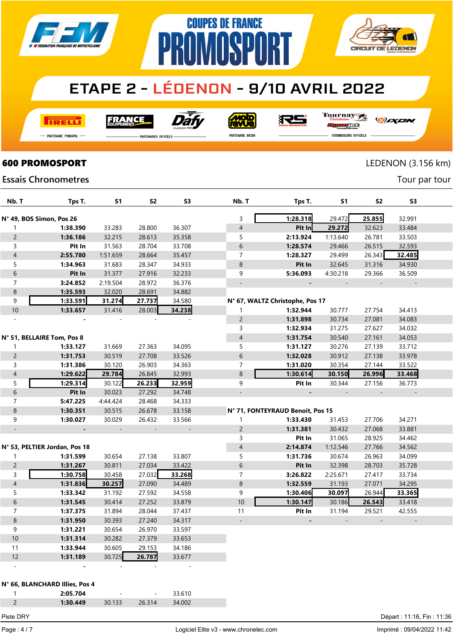

**COUPES DE FRANCE** 

**PROMOSPORT** 

**TRELLI** 

**FRANCE** 



<u>ajow</u>

沢ら

Tournay

-<br>Partenaire Principal

**Essais Chronometres** 

.<br>PARTENAIRES OFFICIELS

PARTENAIRE MEDIA

**CIRCUIT DE LEDENON** 

rac

*DEXEN* 

FOURNISSEURS OFFICIELS

### **600 PROMOSPORT** LEDENON (3.156 km)

Tour par tour

| Nb. T                    | Tps T.                         | S1                       | S2                       | S <sub>3</sub>           | Nb. T                    | Tps T.                           | S1                       | S2               | S <sub>3</sub>           |  |
|--------------------------|--------------------------------|--------------------------|--------------------------|--------------------------|--------------------------|----------------------------------|--------------------------|------------------|--------------------------|--|
|                          | N° 49, BOS Simon, Pos 26       |                          |                          |                          | 3                        | 1:28.318                         | 29.472                   | 25.855           | 32.991                   |  |
|                          |                                |                          |                          |                          | $\overline{\mathcal{L}}$ |                                  |                          |                  |                          |  |
| 1                        | 1:38.390<br>1:36.186           | 33.283                   | 28.800                   | 36.307                   |                          | Pit In                           | 29.272<br>1:13.640       | 32.623<br>26.781 | 33.484                   |  |
| $\overline{c}$           |                                | 32.215                   | 28.613                   | 35.358                   | 5                        | 2:13.924                         |                          |                  | 33.503                   |  |
| 3                        | Pit In                         | 31.563                   | 28.704                   | 33.708                   | $\,$ 6 $\,$              | 1:28.574                         | 29.466                   | 26.515           | 32.593                   |  |
| $\overline{\mathcal{L}}$ | 2:55.780                       | 1:51.659                 | 28.664                   | 35.457                   | $\overline{7}$           | 1:28.327                         | 29.499                   | 26.343           | 32.485                   |  |
| 5                        | 1:34.963                       | 31.683                   | 28.347                   | 34.933                   | 8                        | Pit In                           | 32.645                   | 31.316           | 34.930                   |  |
| $\boldsymbol{6}$         | Pit In                         | 31.377                   | 27.916                   | 32.233                   | 9                        | 5:36.093                         | 4:30.218                 | 29.366           | 36.509                   |  |
| $\overline{7}$           | 3:24.852                       | 2:19.504                 | 28.972                   | 36.376                   |                          |                                  | $\overline{\phantom{a}}$ |                  | $\overline{a}$           |  |
| 8                        | 1:35.593                       | 32.020                   | 28.691                   | 34.882                   |                          |                                  |                          |                  |                          |  |
| $\boldsymbol{9}$         | 1:33.591                       | 31.274                   | 27.737                   | 34.580                   |                          | N° 67, WALTZ Christophe, Pos 17  |                          |                  |                          |  |
| $10$                     | 1:33.657                       | 31.416                   | 28.003                   | 34.238                   | 1                        | 1:32.944                         | 30.777                   | 27.754           | 34.413                   |  |
|                          |                                |                          |                          |                          | $\overline{c}$           | 1:31.898                         | 30.734                   | 27.081           | 34.083                   |  |
|                          |                                |                          |                          |                          | 3                        | 1:32.934                         | 31.275                   | 27.627           | 34.032                   |  |
|                          | N° 51, BELLAIRE Tom, Pos 8     |                          |                          |                          | $\overline{\mathcal{L}}$ | 1:31.754                         | 30.540                   | 27.161           | 34.053                   |  |
| 1                        | 1:33.127                       | 31.669                   | 27.363                   | 34.095                   | 5                        | 1:31.127                         | 30.276                   | 27.139           | 33.712                   |  |
| $\overline{c}$           | 1:31.753                       | 30.519                   | 27.708                   | 33.526                   | 6                        | 1:32.028                         | 30.912                   | 27.138           | 33.978                   |  |
| 3                        | 1:31.386                       | 30.120                   | 26.903                   | 34.363                   | $\overline{7}$           | 1:31.020                         | 30.354                   | 27.144           | 33.522                   |  |
| $\overline{\mathcal{L}}$ | 1:29.622                       | 29.784                   | 26.845                   | 32.993                   | 8                        | 1:30.614                         | 30.150                   | 26.996           | 33.468                   |  |
| 5                        | 1:29.314                       | 30.122                   | 26.233                   | 32.959                   | 9                        | Pit In                           | 30.344                   | 27.156           | 36.773                   |  |
| $\,$ 6 $\,$              | Pit In                         | 30.023                   | 27.292                   | 34.748                   |                          |                                  | $\overline{\phantom{a}}$ |                  | $\overline{\phantom{a}}$ |  |
| $\overline{7}$           | 5:47.225                       | 4:44.424                 | 28.468                   | 34.333                   |                          |                                  |                          |                  |                          |  |
| 8                        | 1:30.351                       | 30.515                   | 26.678                   | 33.158                   |                          | N° 71, FONTEYRAUD Benoit, Pos 15 |                          |                  |                          |  |
| 9                        | 1:30.027                       | 30.029                   | 26.432                   | 33.566                   | 1                        | 1:33.430                         | 31.453                   | 27.706           | 34.271                   |  |
| $\blacksquare$           |                                | $\overline{\phantom{a}}$ | $\overline{\phantom{a}}$ | $\overline{\phantom{a}}$ | $\overline{c}$           | 1:31.381                         | 30.432                   | 27.068           | 33.881                   |  |
|                          |                                |                          |                          |                          | 3                        | Pit In                           | 31.065                   | 28.925           | 34.462                   |  |
|                          | N° 53, PELTIER Jordan, Pos 18  |                          |                          |                          | $\overline{\mathcal{A}}$ | 2:14.874                         | 1:12.546                 | 27.766           | 34.562                   |  |
| 1                        | 1:31.599                       | 30.654                   | 27.138                   | 33.807                   | 5                        | 1:31.736                         | 30.674                   | 26.963           | 34.099                   |  |
| $\overline{c}$           | 1:31.267                       | 30.811                   | 27.034                   | 33.422                   | 6                        | Pit In                           | 32.398                   | 28.703           | 35.728                   |  |
| 3                        | 1:30.758                       | 30.458                   | 27.032                   | 33.268                   | $\overline{7}$           | 3:26.822                         | 2:25.671                 | 27.417           | 33.734                   |  |
| $\overline{\mathcal{L}}$ | 1:31.836                       | 30.257                   | 27.090                   | 34.489                   | $\bf 8$                  | 1:32.559                         | 31.193                   | 27.071           | 34.295                   |  |
| 5                        | 1:33.342                       | 31.192                   | 27.592                   | 34.558                   | 9                        | 1:30.406                         | 30.097                   | 26.944           | 33.365                   |  |
| $\boldsymbol{6}$         | 1:31.545                       | 30.414                   | 27.252                   | 33.879                   | 10                       | 1:30.147                         | 30.186                   | 26.543           | 33.418                   |  |
| $\overline{7}$           | 1:37.375                       | 31.894                   | 28.044                   | 37.437                   | 11                       | Pit In                           | 31.194                   | 29.521           | 42.555                   |  |
| $\,8\,$                  | 1:31.950                       | 30.393                   | 27.240                   | 34.317                   |                          |                                  |                          |                  |                          |  |
| 9                        | 1:31.221                       | 30.654                   | 26.970                   | 33.597                   |                          |                                  |                          |                  |                          |  |
| 10                       | 1:31.314                       | 30.282                   | 27.379                   | 33.653                   |                          |                                  |                          |                  |                          |  |
| 11                       | 1:33.944                       | 30.605                   | 29.153                   | 34.186                   |                          |                                  |                          |                  |                          |  |
| 12                       | 1:31.189                       | 30.725                   | 26.787                   | 33.677                   |                          |                                  |                          |                  |                          |  |
|                          |                                |                          |                          |                          |                          |                                  |                          |                  |                          |  |
|                          |                                |                          |                          |                          |                          |                                  |                          |                  |                          |  |
|                          | N° 66, BLANCHARD Illies, Pos 4 |                          |                          |                          |                          |                                  |                          |                  |                          |  |
| 1                        | 2:05.704                       |                          |                          | 33.610                   |                          |                                  |                          |                  |                          |  |
| $\overline{c}$           | 1:30.449                       | 30.133                   | 26.314                   | 34.002                   |                          |                                  |                          |                  |                          |  |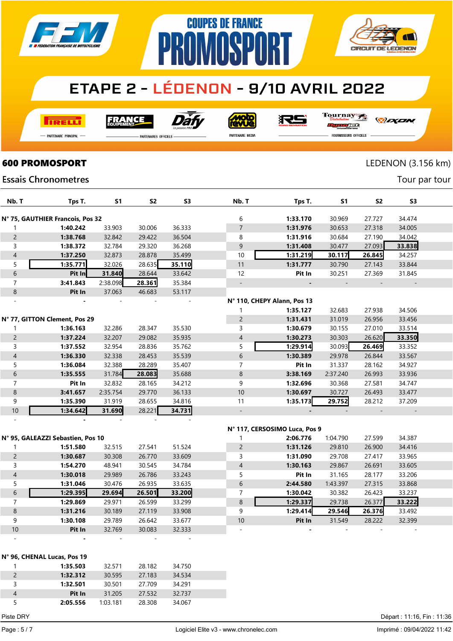

**COUPES DE FRANCE** 

**NMNSP** 

**I तत्वच**र्च

**FRANCE** 



**Molo** 

Tournay

*DEXEN* 

**CIRCUIT DE LEDENON** 

-<br>Partenaire Principal

**PARTENAIRES OFFICIELS** 

PARTENAIRE MEDIA

沢ら

PR

rse FOURNISSEURS OFFICIELS

### **600 PROMOSPORT** LEDENON (3.156 km)

Tour par tour

**Essais Chronometres** 

| Nb. T          | Tps T.                           | <b>S1</b> | S <sub>2</sub> | S <sub>3</sub> | Nb. T                       | Tps T.   | <b>S1</b> | S <sub>2</sub> | S <sub>3</sub> |  |
|----------------|----------------------------------|-----------|----------------|----------------|-----------------------------|----------|-----------|----------------|----------------|--|
|                | N° 75, GAUTHIER Francois, Pos 32 |           |                |                | 6                           | 1:33.170 | 30.969    | 27.727         | 34.474         |  |
|                | 1:40.242                         | 33.903    | 30.006         | 36.333         | $\overline{7}$              | 1:31.976 | 30.653    | 27.318         | 34.005         |  |
| $\overline{c}$ | 1:38.768                         | 32.842    | 29.422         | 36.504         | 8                           | 1:31.916 | 30.684    | 27.190         | 34.042         |  |
| 3              | 1:38.372                         | 32.784    | 29.320         | 36.268         | 9                           | 1:31.408 | 30.477    | 27.093         | 33.838         |  |
| $\overline{4}$ | 1:37.250                         | 32.873    | 28.878         | 35.499         | 10                          | 1:31.219 | 30.117    | 26.845         | 34.257         |  |
| 5              | 1:35.771                         | 32.026    | 28.635         | 35.110         | 11                          | 1:31.777 | 30.790    | 27.143         | 33.844         |  |
| 6              | Pit In                           | 31.840    | 28.644         | 33.642         | 12                          | Pit In   | 30.251    | 27.369         | 31.845         |  |
| $\overline{7}$ | 3:41.843                         | 2:38.098  | 28.361         | 35.384         |                             |          |           |                |                |  |
| 8              | Pit In                           | 37.063    | 46.683         | 53.117         |                             |          |           |                |                |  |
|                |                                  |           |                |                | N° 110, CHEPY Alann, Pos 13 |          |           |                |                |  |
|                |                                  |           |                |                |                             | 1:35.127 | 32.683    | 27.938         | 34.506         |  |
|                | N° 77, GITTON Clement, Pos 29    |           |                |                | $\overline{2}$              | 1:31.431 | 31.019    | 26.956         | 33.456         |  |
|                | 1:36.163                         | 32.286    | 28.347         | 35.530         | 3                           | 1:30.679 | 30.155    | 27.010         | 33.514         |  |
| $\overline{2}$ | 1:37.224                         | 32.207    | 29.082         | 35.935         | 4                           | 1:30.273 | 30.303    | 26.620         | 33.350         |  |
| 3              | 1:37.552                         | 32.954    | 28.836         | 35.762         | 5                           | 1:29.914 | 30.093    | 26.469         | 33.352         |  |
| $\overline{4}$ | 1:36.330                         | 32.338    | 28.453         | 35.539         | 6                           | 1:30.389 | 29.978    | 26.844         | 33.567         |  |
| 5              | 1:36.084                         | 32.388    | 28.289         | 35.407         | 7                           | Pit In   | 31.337    | 28.162         | 34.927         |  |
| 6              | 1:35.555                         | 31.784    | 28.083         | 35.688         | 8                           | 3:38.169 | 2:37.240  | 26.993         | 33.936         |  |
| $\overline{7}$ | Pit In                           | 32.832    | 28.165         | 34.212         | 9                           | 1:32.696 | 30.368    | 27.581         | 34.747         |  |
| 8              | 3:41.657                         | 2:35.754  | 29.770         | 36.133         | 10                          | 1:30.697 | 30.727    | 26.493         | 33.477         |  |
| 9              | 1:35.390                         | 31.919    | 28.655         | 34.816         | 11                          | 1:35.173 | 29.752    | 28.212         | 37.209         |  |
| 10             | 1:34.642                         | 31.690    | 28.221         | 34.731         |                             |          |           |                |                |  |
|                |                                  |           |                |                |                             |          |           |                |                |  |
|                |                                  |           |                |                |                             |          |           |                |                |  |

|                          | N° 117, CERSOSIMO Luca, Pos 9     |        |        |                          |  |                          |                |               |        |        |  |  |  |
|--------------------------|-----------------------------------|--------|--------|--------------------------|--|--------------------------|----------------|---------------|--------|--------|--|--|--|
|                          | N° 95, GALEAZZI Sebastien, Pos 10 |        |        |                          |  |                          | 2:06.776       | 1:04.790      | 27.599 | 34.387 |  |  |  |
|                          | 1:51.580                          | 32.515 | 27.541 | 51.524                   |  | $\overline{2}$           | 1:31.126       | 29.810        | 26,900 | 34.416 |  |  |  |
| $\overline{2}$           | 1:30.687                          | 30.308 | 26.770 | 33.609                   |  | 3                        | 1:31.090       | 29.708        | 27.417 | 33.965 |  |  |  |
| 3                        | 1:54.270                          | 48.941 | 30.545 | 34.784                   |  | $\overline{4}$           | 1:30.163       | 29.867        | 26.691 | 33.605 |  |  |  |
| 4                        | 1:30.018                          | 29.989 | 26.786 | 33.243                   |  | 5                        | Pit In         | 31.165        | 28.177 | 33.206 |  |  |  |
| 5                        | 1:31.046                          | 30.476 | 26.935 | 33.635                   |  | 6                        | 2:44.580       | 1:43.397      | 27.315 | 33.868 |  |  |  |
| 6                        | 1:29.395                          | 29.694 | 26.501 | 33.200                   |  | 7                        | 1:30.042       | 30.382        | 26.423 | 33.237 |  |  |  |
| 7                        | 1:29.869                          | 29.971 | 26.599 | 33.299                   |  | 8                        | 1:29.337       | 29.738        | 26.377 | 33.222 |  |  |  |
| 8                        | 1:31.216                          | 30.189 | 27.119 | 33.908                   |  | 9                        | 1:29.414       | <b>29.546</b> | 26.376 | 33.492 |  |  |  |
| 9                        | 1:30.108                          | 29.789 | 26.642 | 33.677                   |  | 10                       | Pit In         | 31.549        | 28.222 | 32.399 |  |  |  |
| 10                       | Pit In                            | 32.769 | 30.083 | 32.333                   |  | $\overline{\phantom{0}}$ | $\blacksquare$ |               |        |        |  |  |  |
| $\overline{\phantom{a}}$ |                                   |        |        | $\overline{\phantom{0}}$ |  |                          |                |               |        |        |  |  |  |

|   | N° 96, CHENAL Lucas, Pos 19 |          |        |        |  |  |  |  |  |  |  |
|---|-----------------------------|----------|--------|--------|--|--|--|--|--|--|--|
|   | 1:35.503                    | 32.571   | 28.182 | 34.750 |  |  |  |  |  |  |  |
| 2 | 1:32.312                    | 30.595   | 27.183 | 34.534 |  |  |  |  |  |  |  |
| 3 | 1:32.501                    | 30.501   | 27.709 | 34.291 |  |  |  |  |  |  |  |
| 4 | Pit In                      | 31.205   | 27.532 | 32.737 |  |  |  |  |  |  |  |
| 5 | 2:05.556                    | 1:03.181 | 28.308 | 34.067 |  |  |  |  |  |  |  |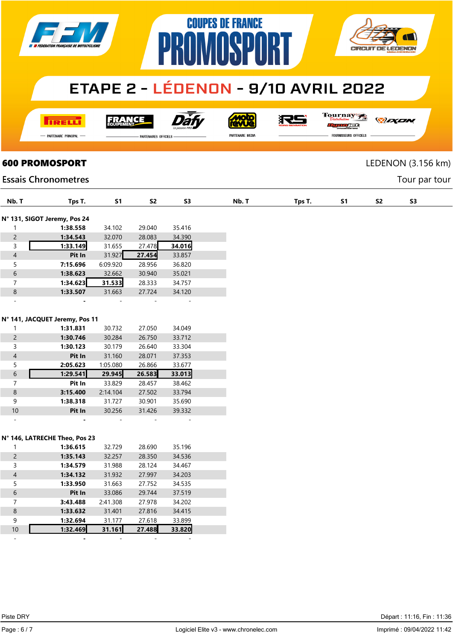

**COUPES DE FRANCE** 

**IMNSP** 

**TRELL** 

FRANCE

Dàt

**MOLO**<br>AVLIG PARTENAIRE MEDIA

很与

19

Tournay *DEXEN* orse

**CIRCUIT DE LEDENON** 

- Partenaire Principal

**PARTENAIRES OFFICIELS** 

PR

**FOURNISSEURS OFFICIELS** 

**600 PROMOSPORT** LEDENON (3.156 km)

Tour par tour

### **Essais Chronometres**

| Nb. T                    | Tps T.                         | S <sub>1</sub> | S <sub>2</sub> | S3     | Nb. T | Tps T. | S <sub>1</sub> | S <sub>2</sub> |
|--------------------------|--------------------------------|----------------|----------------|--------|-------|--------|----------------|----------------|
|                          |                                |                |                |        |       |        |                |                |
|                          | N° 131, SIGOT Jeremy, Pos 24   |                |                |        |       |        |                |                |
| $\mathbf{1}$             | 1:38.558                       | 34.102         | 29.040         | 35.416 |       |        |                |                |
| $\overline{c}$           | 1:34.543                       | 32.070         | 28.083         | 34.390 |       |        |                |                |
| 3                        | 1:33.149                       | 31.655         | 27.478         | 34.016 |       |        |                |                |
| $\overline{4}$           | Pit In                         | 31.927         | 27.454         | 33.857 |       |        |                |                |
| 5                        | 7:15.696                       | 6:09.920       | 28.956         | 36.820 |       |        |                |                |
| $\boldsymbol{6}$         | 1:38.623                       | 32.662         | 30.940         | 35.021 |       |        |                |                |
| $\overline{7}$           | 1:34.623                       | 31.533         | 28.333         | 34.757 |       |        |                |                |
| $\bf 8$                  | 1:33.507                       | 31.663         | 27.724         | 34.120 |       |        |                |                |
|                          |                                |                |                |        |       |        |                |                |
|                          |                                |                |                |        |       |        |                |                |
|                          | N° 141, JACQUET Jeremy, Pos 11 |                |                |        |       |        |                |                |
| 1                        | 1:31.831                       | 30.732         | 27.050         | 34.049 |       |        |                |                |
| $\overline{c}$           | 1:30.746                       | 30.284         | 26.750         | 33.712 |       |        |                |                |
| 3                        | 1:30.123                       | 30.179         | 26.640         | 33.304 |       |        |                |                |
| $\overline{4}$           | Pit In                         | 31.160         | 28.071         | 37.353 |       |        |                |                |
| 5                        | 2:05.623                       | 1:05.080       | 26.866         | 33.677 |       |        |                |                |
| $\sqrt{6}$               | 1:29.541                       | 29.945         | 26.583         | 33.013 |       |        |                |                |
| $\overline{7}$           | Pit In                         | 33.829         | 28.457         | 38.462 |       |        |                |                |
| $\bf 8$                  | 3:15.400                       | 2:14.104       | 27.502         | 33.794 |       |        |                |                |
| $\boldsymbol{9}$         |                                |                |                |        |       |        |                |                |
|                          | 1:38.318                       | 31.727         | 30.901         | 35.690 |       |        |                |                |
| $10\,$                   | Pit In                         | 30.256         | 31.426         | 39.332 |       |        |                |                |
|                          |                                |                |                |        |       |        |                |                |
|                          |                                |                |                |        |       |        |                |                |
|                          | N° 146, LATRECHE Theo, Pos 23  |                |                |        |       |        |                |                |
| 1                        | 1:36.615                       | 32.729         | 28.690         | 35.196 |       |        |                |                |
| $\overline{c}$           | 1:35.143                       | 32.257         | 28.350         | 34.536 |       |        |                |                |
| 3                        | 1:34.579                       | 31.988         | 28.124         | 34.467 |       |        |                |                |
| $\overline{\mathcal{L}}$ | 1:34.132                       | 31.932         | 27.997         | 34.203 |       |        |                |                |
| 5                        | 1:33.950                       | 31.663         | 27.752         | 34.535 |       |        |                |                |
| $\sqrt{6}$               | Pit In                         | 33.086         | 29.744         | 37.519 |       |        |                |                |
| $\overline{7}$           | 3:43.488                       | 2:41.308       | 27.978         | 34.202 |       |        |                |                |
| $\bf 8$                  | 1:33.632                       | 31.401         | 27.816         | 34.415 |       |        |                |                |
| 9                        | 1:32.694                       | 31.177         | 27.618         | 33.899 |       |        |                |                |
| $10$                     | 1:32.469                       | 31.161         | 27.488         | 33.820 |       |        |                |                |
| $\equiv$                 | $\overline{a}$                 | $\sim$         | $\sim$         | $\sim$ |       |        |                |                |
|                          |                                |                |                |        |       |        |                |                |